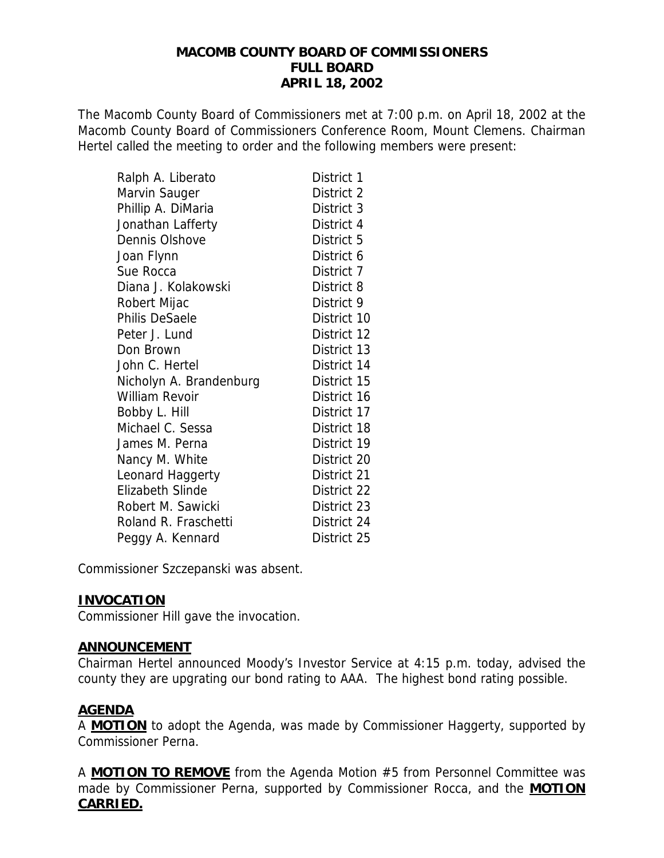### **MACOMB COUNTY BOARD OF COMMISSIONERS FULL BOARD APRIL 18, 2002**

The Macomb County Board of Commissioners met at 7:00 p.m. on April 18, 2002 at the Macomb County Board of Commissioners Conference Room, Mount Clemens. Chairman Hertel called the meeting to order and the following members were present:

| Ralph A. Liberato       | District 1  |
|-------------------------|-------------|
| Marvin Sauger           | District 2  |
| Phillip A. DiMaria      | District 3  |
| Jonathan Lafferty       | District 4  |
| Dennis Olshove          | District 5  |
| Joan Flynn              | District 6  |
| Sue Rocca               | District 7  |
| Diana J. Kolakowski     | District 8  |
| Robert Mijac            | District 9  |
| <b>Philis DeSaele</b>   | District 10 |
| Peter J. Lund           | District 12 |
| Don Brown               | District 13 |
| John C. Hertel          | District 14 |
| Nicholyn A. Brandenburg | District 15 |
| William Revoir          | District 16 |
| Bobby L. Hill           | District 17 |
| Michael C. Sessa        | District 18 |
| James M. Perna          | District 19 |
| Nancy M. White          | District 20 |
| Leonard Haggerty        | District 21 |
| <b>Elizabeth Slinde</b> | District 22 |
| Robert M. Sawicki       | District 23 |
| Roland R. Fraschetti    | District 24 |
| Peggy A. Kennard        | District 25 |

Commissioner Szczepanski was absent.

### **INVOCATION**

Commissioner Hill gave the invocation.

### **ANNOUNCEMENT**

Chairman Hertel announced Moody's Investor Service at 4:15 p.m. today, advised the county they are upgrating our bond rating to AAA. The highest bond rating possible.

## **AGENDA**

A **MOTION** to adopt the Agenda, was made by Commissioner Haggerty, supported by Commissioner Perna.

A **MOTION TO REMOVE** from the Agenda Motion #5 from Personnel Committee was made by Commissioner Perna, supported by Commissioner Rocca, and the **MOTION CARRIED.**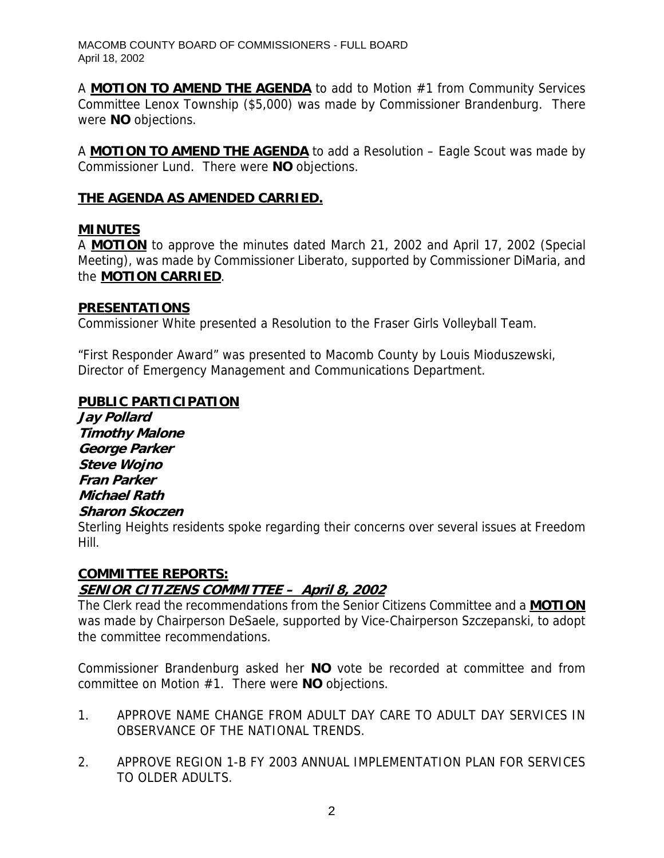A **MOTION TO AMEND THE AGENDA** to add to Motion #1 from Community Services Committee Lenox Township (\$5,000) was made by Commissioner Brandenburg. There were **NO** objections.

A **MOTION TO AMEND THE AGENDA** to add a Resolution – Eagle Scout was made by Commissioner Lund. There were **NO** objections.

## **THE AGENDA AS AMENDED CARRIED.**

## **MINUTES**

A **MOTION** to approve the minutes dated March 21, 2002 and April 17, 2002 (Special Meeting), was made by Commissioner Liberato, supported by Commissioner DiMaria, and the **MOTION CARRIED**.

### **PRESENTATIONS**

Commissioner White presented a Resolution to the Fraser Girls Volleyball Team.

"First Responder Award" was presented to Macomb County by Louis Mioduszewski, Director of Emergency Management and Communications Department.

## **PUBLIC PARTICIPATION**

**Jay Pollard Timothy Malone George Parker Steve Wojno Fran Parker Michael Rath Sharon Skoczen** 

Sterling Heights residents spoke regarding their concerns over several issues at Freedom Hill.

# **COMMITTEE REPORTS: SENIOR CITIZENS COMMITTEE – April 8, 2002**

The Clerk read the recommendations from the Senior Citizens Committee and a **MOTION** was made by Chairperson DeSaele, supported by Vice-Chairperson Szczepanski, to adopt the committee recommendations.

Commissioner Brandenburg asked her **NO** vote be recorded at committee and from committee on Motion #1. There were **NO** objections.

- 1. APPROVE NAME CHANGE FROM ADULT DAY CARE TO ADULT DAY SERVICES IN OBSERVANCE OF THE NATIONAL TRENDS.
- 2. APPROVE REGION 1-B FY 2003 ANNUAL IMPLEMENTATION PLAN FOR SERVICES TO OLDER ADULTS.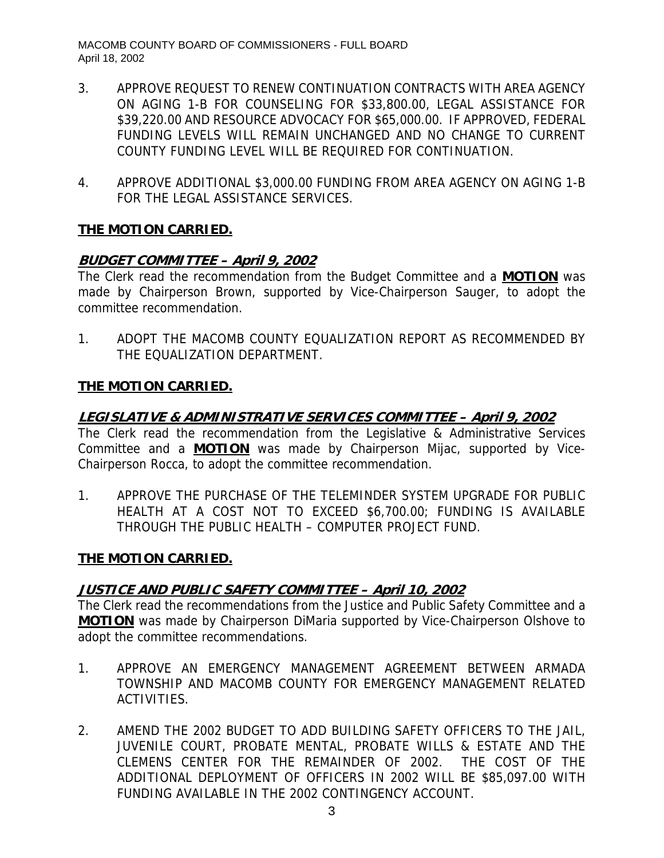- 3. APPROVE REQUEST TO RENEW CONTINUATION CONTRACTS WITH AREA AGENCY ON AGING 1-B FOR COUNSELING FOR \$33,800.00, LEGAL ASSISTANCE FOR \$39,220.00 AND RESOURCE ADVOCACY FOR \$65,000.00. IF APPROVED, FEDERAL FUNDING LEVELS WILL REMAIN UNCHANGED AND NO CHANGE TO CURRENT COUNTY FUNDING LEVEL WILL BE REQUIRED FOR CONTINUATION.
- 4. APPROVE ADDITIONAL \$3,000.00 FUNDING FROM AREA AGENCY ON AGING 1-B FOR THE LEGAL ASSISTANCE SERVICES.

# **BUDGET COMMITTEE – April 9, 2002**

The Clerk read the recommendation from the Budget Committee and a **MOTION** was made by Chairperson Brown, supported by Vice-Chairperson Sauger, to adopt the committee recommendation.

1. ADOPT THE MACOMB COUNTY EQUALIZATION REPORT AS RECOMMENDED BY THE EQUALIZATION DEPARTMENT.

# **THE MOTION CARRIED.**

# **LEGISLATIVE & ADMINISTRATIVE SERVICES COMMITTEE – April 9, 2002**

The Clerk read the recommendation from the Legislative & Administrative Services Committee and a **MOTION** was made by Chairperson Mijac, supported by Vice-Chairperson Rocca, to adopt the committee recommendation.

1. APPROVE THE PURCHASE OF THE TELEMINDER SYSTEM UPGRADE FOR PUBLIC HEALTH AT A COST NOT TO EXCEED \$6,700.00; FUNDING IS AVAILABLE THROUGH THE PUBLIC HEALTH – COMPUTER PROJECT FUND.

## **THE MOTION CARRIED.**

## **JUSTICE AND PUBLIC SAFETY COMMITTEE – April 10, 2002**

The Clerk read the recommendations from the Justice and Public Safety Committee and a **MOTION** was made by Chairperson DiMaria supported by Vice-Chairperson Olshove to adopt the committee recommendations.

- 1. APPROVE AN EMERGENCY MANAGEMENT AGREEMENT BETWEEN ARMADA TOWNSHIP AND MACOMB COUNTY FOR EMERGENCY MANAGEMENT RELATED ACTIVITIES.
- 2. AMEND THE 2002 BUDGET TO ADD BUILDING SAFETY OFFICERS TO THE JAIL, JUVENILE COURT, PROBATE MENTAL, PROBATE WILLS & ESTATE AND THE CLEMENS CENTER FOR THE REMAINDER OF 2002. THE COST OF THE ADDITIONAL DEPLOYMENT OF OFFICERS IN 2002 WILL BE \$85,097.00 WITH FUNDING AVAILABLE IN THE 2002 CONTINGENCY ACCOUNT.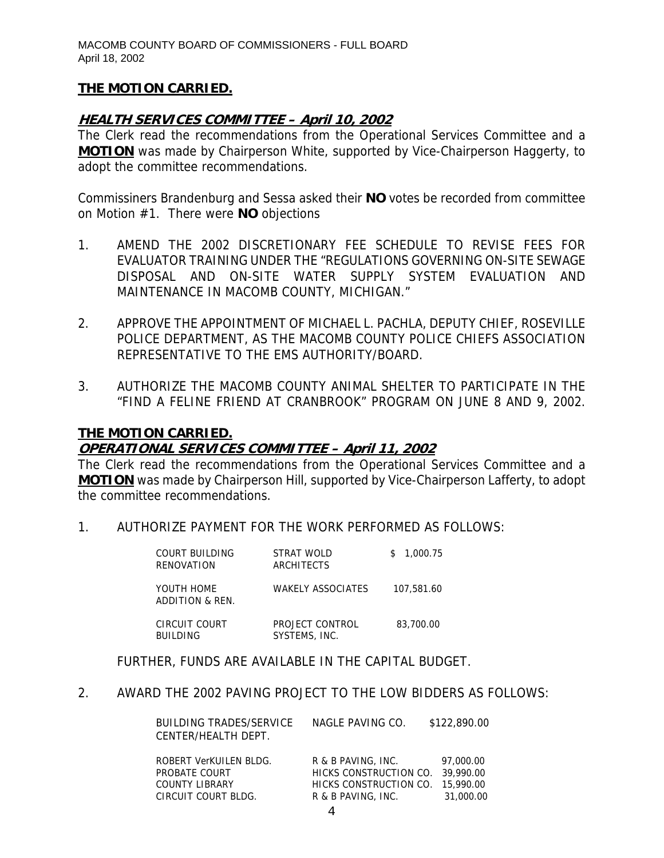### **HEALTH SERVICES COMMITTEE – April 10, 2002**

The Clerk read the recommendations from the Operational Services Committee and a **MOTION** was made by Chairperson White, supported by Vice-Chairperson Haggerty, to adopt the committee recommendations.

Commissiners Brandenburg and Sessa asked their **NO** votes be recorded from committee on Motion #1. There were **NO** objections

- 1. AMEND THE 2002 DISCRETIONARY FEE SCHEDULE TO REVISE FEES FOR EVALUATOR TRAINING UNDER THE "REGULATIONS GOVERNING ON-SITE SEWAGE DISPOSAL AND ON-SITE WATER SUPPLY SYSTEM EVALUATION AND MAINTENANCE IN MACOMB COUNTY, MICHIGAN."
- 2. APPROVE THE APPOINTMENT OF MICHAEL L. PACHLA, DEPUTY CHIEF, ROSEVILLE POLICE DEPARTMENT, AS THE MACOMB COUNTY POLICE CHIEFS ASSOCIATION REPRESENTATIVE TO THE EMS AUTHORITY/BOARD.
- 3. AUTHORIZE THE MACOMB COUNTY ANIMAL SHELTER TO PARTICIPATE IN THE "FIND A FELINE FRIEND AT CRANBROOK" PROGRAM ON JUNE 8 AND 9, 2002.

### **THE MOTION CARRIED.**

## **OPERATIONAL SERVICES COMMITTEE – April 11, 2002**

The Clerk read the recommendations from the Operational Services Committee and a **MOTION** was made by Chairperson Hill, supported by Vice-Chairperson Lafferty, to adopt the committee recommendations.

1. AUTHORIZE PAYMENT FOR THE WORK PERFORMED AS FOLLOWS:

| COURT BUILDING<br>RENOVATION     | STRAT WOLD<br>ARCHITECTS         | 1,000.75<br>S. |
|----------------------------------|----------------------------------|----------------|
| YOUTH HOME<br>ADDITION & REN.    | <b>WAKELY ASSOCIATES</b>         | 107,581.60     |
| CIRCUIT COURT<br><b>BUILDING</b> | PROJECT CONTROL<br>SYSTEMS, INC. | 83,700.00      |

FURTHER, FUNDS ARE AVAILABLE IN THE CAPITAL BUDGET.

2. AWARD THE 2002 PAVING PROJECT TO THE LOW BIDDERS AS FOLLOWS:

| BUILDING TRADES/SERVICE<br>CENTER/HEALTH DEPT. | NAGLE PAVING CO.                 | \$122,890.00 |
|------------------------------------------------|----------------------------------|--------------|
| ROBERT VerKUILEN BLDG.                         | R & B PAVING, INC.               | 97,000.00    |
| PROBATE COURT                                  | HICKS CONSTRUCTION CO. 39.990.00 |              |
| <b>COUNTY LIBRARY</b>                          | HICKS CONSTRUCTION CO. 15,990.00 |              |

CIRCUIT COURT BLDG. R & B PAVING, INC. 31,000.00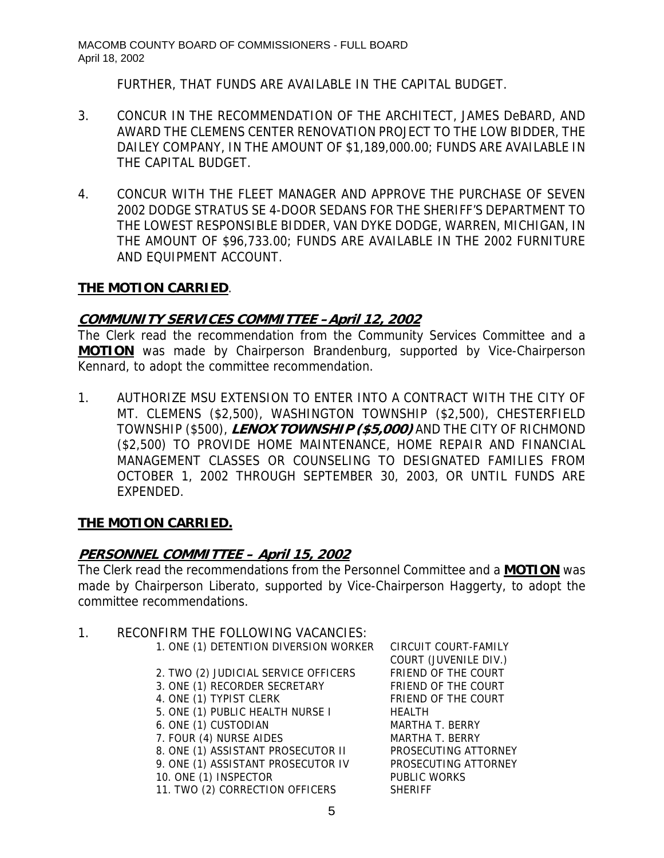FURTHER, THAT FUNDS ARE AVAILABLE IN THE CAPITAL BUDGET.

- 3. CONCUR IN THE RECOMMENDATION OF THE ARCHITECT, JAMES DeBARD, AND AWARD THE CLEMENS CENTER RENOVATION PROJECT TO THE LOW BIDDER, THE DAILEY COMPANY, IN THE AMOUNT OF \$1,189,000.00; FUNDS ARE AVAILABLE IN THE CAPITAL BUDGET.
- 4. CONCUR WITH THE FLEET MANAGER AND APPROVE THE PURCHASE OF SEVEN 2002 DODGE STRATUS SE 4-DOOR SEDANS FOR THE SHERIFF'S DEPARTMENT TO THE LOWEST RESPONSIBLE BIDDER, VAN DYKE DODGE, WARREN, MICHIGAN, IN THE AMOUNT OF \$96,733.00; FUNDS ARE AVAILABLE IN THE 2002 FURNITURE AND EQUIPMENT ACCOUNT.

# **THE MOTION CARRIED**.

## **COMMUNITY SERVICES COMMITTEE –April 12, 2002**

The Clerk read the recommendation from the Community Services Committee and a **MOTION** was made by Chairperson Brandenburg, supported by Vice-Chairperson Kennard, to adopt the committee recommendation.

1. AUTHORIZE MSU EXTENSION TO ENTER INTO A CONTRACT WITH THE CITY OF MT. CLEMENS (\$2,500), WASHINGTON TOWNSHIP (\$2,500), CHESTERFIELD TOWNSHIP (\$500), **LENOX TOWNSHIP (\$5,000)** AND THE CITY OF RICHMOND (\$2,500) TO PROVIDE HOME MAINTENANCE, HOME REPAIR AND FINANCIAL MANAGEMENT CLASSES OR COUNSELING TO DESIGNATED FAMILIES FROM OCTOBER 1, 2002 THROUGH SEPTEMBER 30, 2003, OR UNTIL FUNDS ARE EXPENDED.

# **THE MOTION CARRIED.**

# **PERSONNEL COMMITTEE – April 15, 2002**

The Clerk read the recommendations from the Personnel Committee and a **MOTION** was made by Chairperson Liberato, supported by Vice-Chairperson Haggerty, to adopt the committee recommendations.

## 1. RECONFIRM THE FOLLOWING VACANCIES:

- 1. ONE (1) DETENTION DIVERSION WORKER CIRCUIT COURT-FAMILY
	- 2. TWO (2) JUDICIAL SERVICE OFFICERS FRIEND OF THE COURT
- 3. ONE (1) RECORDER SECRETARY FRIEND OF THE COURT
- 4. ONE (1) TYPIST CLERK FRIEND OF THE COURT
- 5. ONE (1) PUBLIC HEALTH NURSE I HEALTH
- 6. ONE (1) CUSTODIAN MARTHA T. BERRY
- 7. FOUR (4) NURSE AIDES MARTHA T. BERRY
- 
- 10. ONE (1) INSPECTOR PUBLIC WORKS
- 11. TWO (2) CORRECTION OFFICERS SHERIFF

 COURT (JUVENILE DIV.) 8. ONE (1) ASSISTANT PROSECUTOR II PROSECUTING ATTORNEY 9. ONE (1) ASSISTANT PROSECUTOR IV PROSECUTING ATTORNEY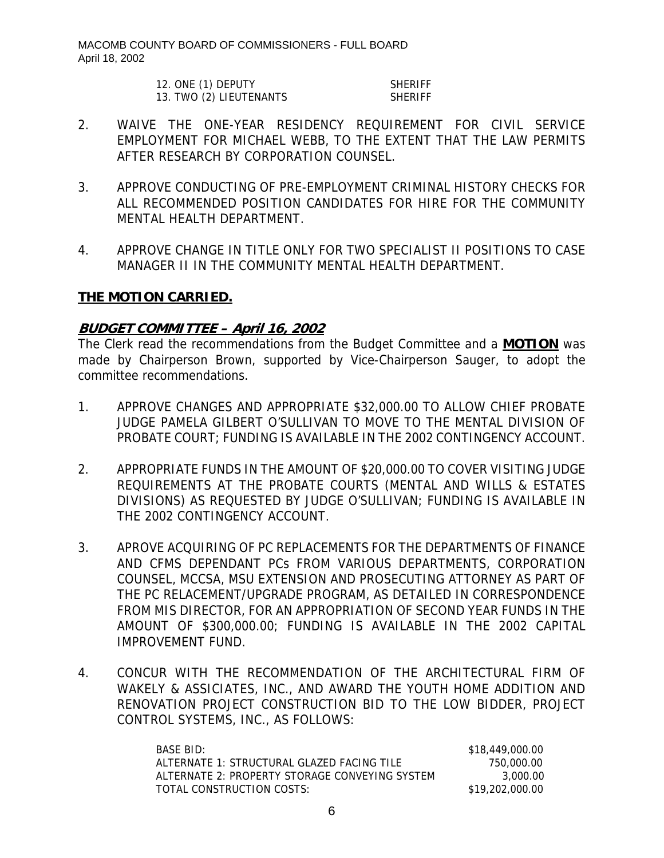MACOMB COUNTY BOARD OF COMMISSIONERS - FULL BOARD April 18, 2002

| 12. ONE (1) DEPUTY      | <b>SHERIFF</b> |
|-------------------------|----------------|
| 13. TWO (2) LIEUTENANTS | <b>SHERIFF</b> |

- 2. WAIVE THE ONE-YEAR RESIDENCY REQUIREMENT FOR CIVIL SERVICE EMPLOYMENT FOR MICHAEL WEBB, TO THE EXTENT THAT THE LAW PERMITS AFTER RESEARCH BY CORPORATION COUNSEL.
- 3. APPROVE CONDUCTING OF PRE-EMPLOYMENT CRIMINAL HISTORY CHECKS FOR ALL RECOMMENDED POSITION CANDIDATES FOR HIRE FOR THE COMMUNITY MENTAL HEALTH DEPARTMENT.
- 4. APPROVE CHANGE IN TITLE ONLY FOR TWO SPECIALIST II POSITIONS TO CASE MANAGER II IN THE COMMUNITY MENTAL HEALTH DEPARTMENT.

## **THE MOTION CARRIED.**

## **BUDGET COMMITTEE – April 16, 2002**

The Clerk read the recommendations from the Budget Committee and a **MOTION** was made by Chairperson Brown, supported by Vice-Chairperson Sauger, to adopt the committee recommendations.

- 1. APPROVE CHANGES AND APPROPRIATE \$32,000.00 TO ALLOW CHIEF PROBATE JUDGE PAMELA GILBERT O'SULLIVAN TO MOVE TO THE MENTAL DIVISION OF PROBATE COURT; FUNDING IS AVAILABLE IN THE 2002 CONTINGENCY ACCOUNT.
- 2. APPROPRIATE FUNDS IN THE AMOUNT OF \$20,000.00 TO COVER VISITING JUDGE REQUIREMENTS AT THE PROBATE COURTS (MENTAL AND WILLS & ESTATES DIVISIONS) AS REQUESTED BY JUDGE O'SULLIVAN; FUNDING IS AVAILABLE IN THE 2002 CONTINGENCY ACCOUNT.
- 3. APROVE ACQUIRING OF PC REPLACEMENTS FOR THE DEPARTMENTS OF FINANCE AND CFMS DEPENDANT PCs FROM VARIOUS DEPARTMENTS, CORPORATION COUNSEL, MCCSA, MSU EXTENSION AND PROSECUTING ATTORNEY AS PART OF THE PC RELACEMENT/UPGRADE PROGRAM, AS DETAILED IN CORRESPONDENCE FROM MIS DIRECTOR, FOR AN APPROPRIATION OF SECOND YEAR FUNDS IN THE AMOUNT OF \$300,000.00; FUNDING IS AVAILABLE IN THE 2002 CAPITAL IMPROVEMENT FUND.
- 4. CONCUR WITH THE RECOMMENDATION OF THE ARCHITECTURAL FIRM OF WAKELY & ASSICIATES, INC., AND AWARD THE YOUTH HOME ADDITION AND RENOVATION PROJECT CONSTRUCTION BID TO THE LOW BIDDER, PROJECT CONTROL SYSTEMS, INC., AS FOLLOWS:

| BASE BID:                                      | \$18,449,000.00 |
|------------------------------------------------|-----------------|
| ALTERNATE 1: STRUCTURAL GLAZED FACING TILE     | 750,000.00      |
| ALTERNATE 2: PROPERTY STORAGE CONVEYING SYSTEM | 3.000.00        |
| TOTAL CONSTRUCTION COSTS:                      | \$19,202,000.00 |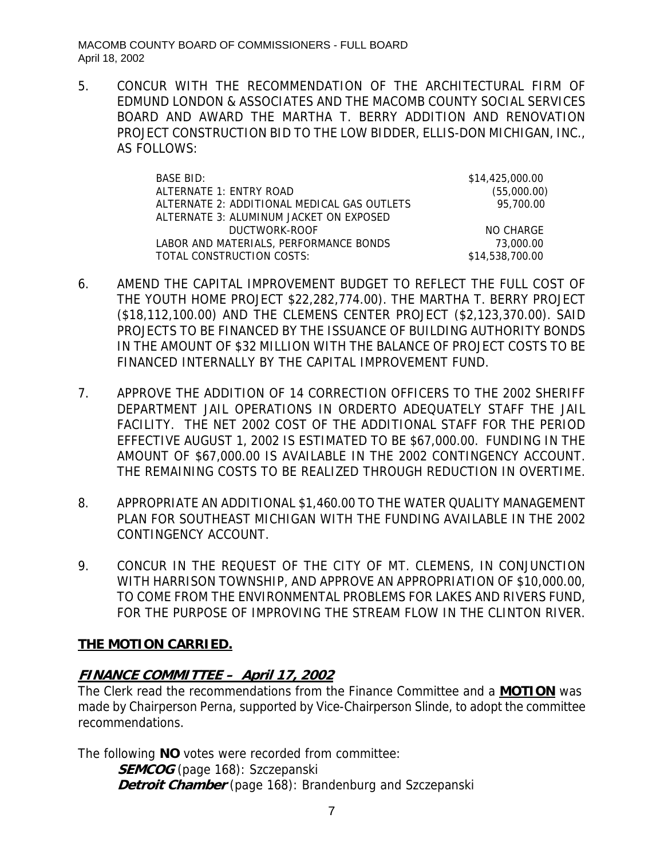MACOMB COUNTY BOARD OF COMMISSIONERS - FULL BOARD April 18, 2002

5. CONCUR WITH THE RECOMMENDATION OF THE ARCHITECTURAL FIRM OF EDMUND LONDON & ASSOCIATES AND THE MACOMB COUNTY SOCIAL SERVICES BOARD AND AWARD THE MARTHA T. BERRY ADDITION AND RENOVATION PROJECT CONSTRUCTION BID TO THE LOW BIDDER, ELLIS-DON MICHIGAN, INC., AS FOLLOWS:

| BASE BID:                                   | \$14,425,000.00 |
|---------------------------------------------|-----------------|
| ALTERNATE 1: ENTRY ROAD                     | (55,000.00)     |
| ALTERNATE 2: ADDITIONAL MEDICAL GAS OUTLETS | 95,700.00       |
| ALTERNATE 3: ALUMINUM JACKET ON EXPOSED     |                 |
| DUCTWORK-ROOF                               | NO CHARGE       |
| LABOR AND MATERIALS, PERFORMANCE BONDS      | 73,000.00       |
| TOTAL CONSTRUCTION COSTS:                   | \$14,538,700.00 |

- 6. AMEND THE CAPITAL IMPROVEMENT BUDGET TO REFLECT THE FULL COST OF THE YOUTH HOME PROJECT \$22,282,774.00). THE MARTHA T. BERRY PROJECT (\$18,112,100.00) AND THE CLEMENS CENTER PROJECT (\$2,123,370.00). SAID PROJECTS TO BE FINANCED BY THE ISSUANCE OF BUILDING AUTHORITY BONDS IN THE AMOUNT OF \$32 MILLION WITH THE BALANCE OF PROJECT COSTS TO BE FINANCED INTERNALLY BY THE CAPITAL IMPROVEMENT FUND.
- 7. APPROVE THE ADDITION OF 14 CORRECTION OFFICERS TO THE 2002 SHERIFF DEPARTMENT JAIL OPERATIONS IN ORDERTO ADEQUATELY STAFF THE JAIL FACILITY. THE NET 2002 COST OF THE ADDITIONAL STAFF FOR THE PERIOD EFFECTIVE AUGUST 1, 2002 IS ESTIMATED TO BE \$67,000.00. FUNDING IN THE AMOUNT OF \$67,000.00 IS AVAILABLE IN THE 2002 CONTINGENCY ACCOUNT. THE REMAINING COSTS TO BE REALIZED THROUGH REDUCTION IN OVERTIME.
- 8. APPROPRIATE AN ADDITIONAL \$1,460.00 TO THE WATER QUALITY MANAGEMENT PLAN FOR SOUTHEAST MICHIGAN WITH THE FUNDING AVAILABLE IN THE 2002 CONTINGENCY ACCOUNT.
- 9. CONCUR IN THE REQUEST OF THE CITY OF MT. CLEMENS, IN CONJUNCTION WITH HARRISON TOWNSHIP, AND APPROVE AN APPROPRIATION OF \$10,000.00, TO COME FROM THE ENVIRONMENTAL PROBLEMS FOR LAKES AND RIVERS FUND, FOR THE PURPOSE OF IMPROVING THE STREAM FLOW IN THE CLINTON RIVER.

# **THE MOTION CARRIED.**

# **FINANCE COMMITTEE – April 17, 2002**

The Clerk read the recommendations from the Finance Committee and a **MOTION** was made by Chairperson Perna, supported by Vice-Chairperson Slinde, to adopt the committee recommendations.

The following **NO** votes were recorded from committee:

**SEMCOG** (page 168): Szczepanski **Detroit Chamber** (page 168): Brandenburg and Szczepanski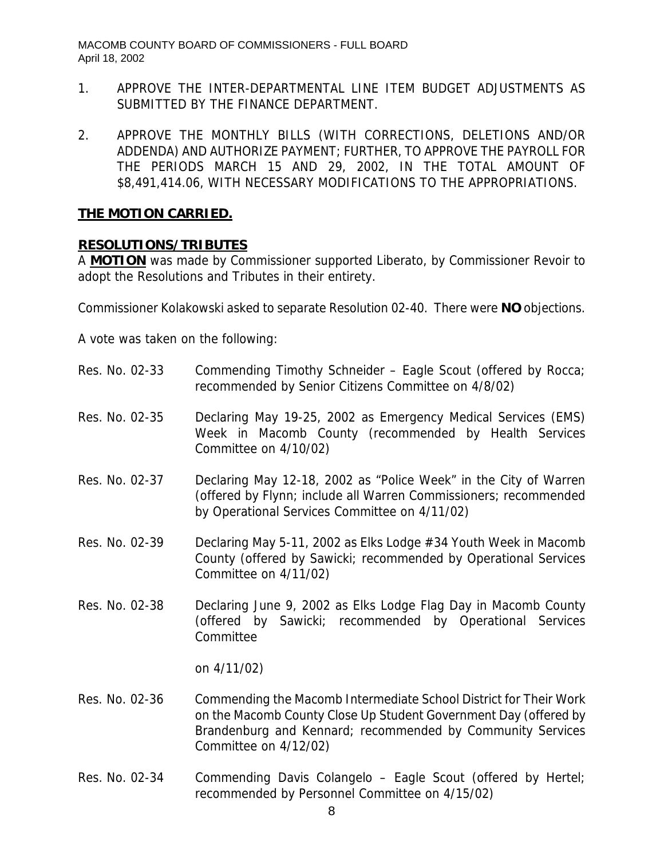- 1. APPROVE THE INTER-DEPARTMENTAL LINE ITEM BUDGET ADJUSTMENTS AS SUBMITTED BY THE FINANCE DEPARTMENT.
- 2. APPROVE THE MONTHLY BILLS (WITH CORRECTIONS, DELETIONS AND/OR ADDENDA) AND AUTHORIZE PAYMENT; FURTHER, TO APPROVE THE PAYROLL FOR THE PERIODS MARCH 15 AND 29, 2002, IN THE TOTAL AMOUNT OF \$8,491,414.06, WITH NECESSARY MODIFICATIONS TO THE APPROPRIATIONS.

### **RESOLUTIONS/TRIBUTES**

A **MOTION** was made by Commissioner supported Liberato, by Commissioner Revoir to adopt the Resolutions and Tributes in their entirety.

Commissioner Kolakowski asked to separate Resolution 02-40. There were **NO** objections.

A vote was taken on the following:

- Res. No. 02-33 Commending Timothy Schneider Eagle Scout (offered by Rocca; recommended by Senior Citizens Committee on 4/8/02)
- Res. No. 02-35 Declaring May 19-25, 2002 as Emergency Medical Services (EMS) Week in Macomb County (recommended by Health Services Committee on 4/10/02)
- Res. No. 02-37 Declaring May 12-18, 2002 as "Police Week" in the City of Warren (offered by Flynn; include all Warren Commissioners; recommended by Operational Services Committee on 4/11/02)
- Res. No. 02-39 Declaring May 5-11, 2002 as Elks Lodge #34 Youth Week in Macomb County (offered by Sawicki; recommended by Operational Services Committee on 4/11/02)
- Res. No. 02-38 Declaring June 9, 2002 as Elks Lodge Flag Day in Macomb County (offered by Sawicki; recommended by Operational Services Committee

on 4/11/02)

- Res. No. 02-36 Commending the Macomb Intermediate School District for Their Work on the Macomb County Close Up Student Government Day (offered by Brandenburg and Kennard; recommended by Community Services Committee on 4/12/02)
- Res. No. 02-34 Commending Davis Colangelo Eagle Scout (offered by Hertel; recommended by Personnel Committee on 4/15/02)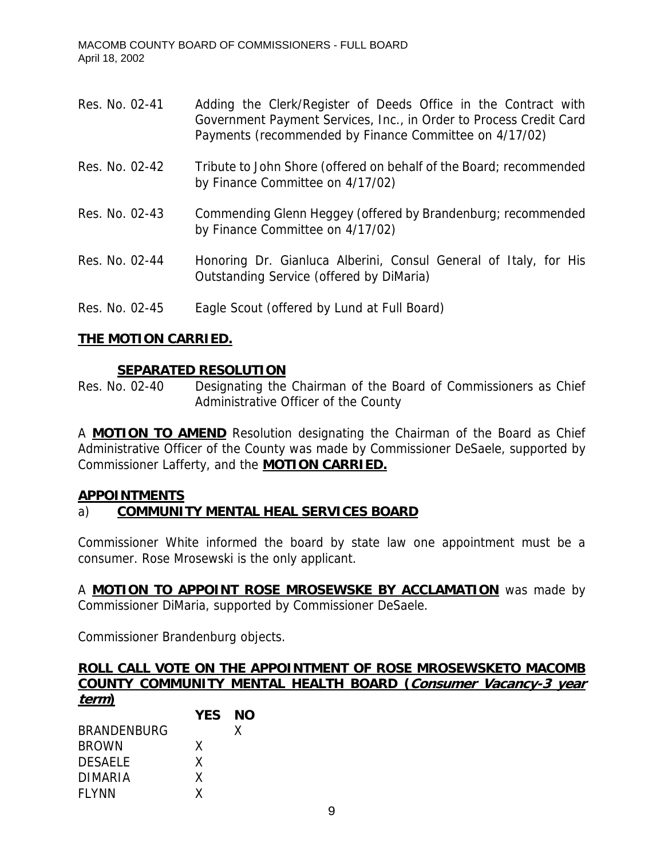| Res. No. 02-41 | Adding the Clerk/Register of Deeds Office in the Contract with<br>Government Payment Services, Inc., in Order to Process Credit Card<br>Payments (recommended by Finance Committee on 4/17/02) |
|----------------|------------------------------------------------------------------------------------------------------------------------------------------------------------------------------------------------|
| Res. No. 02-42 | Tribute to John Shore (offered on behalf of the Board; recommended<br>by Finance Committee on 4/17/02)                                                                                         |
| Res. No. 02-43 | Commending Glenn Heggey (offered by Brandenburg; recommended<br>by Finance Committee on 4/17/02)                                                                                               |
| Res. No. 02-44 | Honoring Dr. Gianluca Alberini, Consul General of Italy, for His<br>Outstanding Service (offered by DiMaria)                                                                                   |
| Res. No. 02-45 | Eagle Scout (offered by Lund at Full Board)                                                                                                                                                    |

## **SEPARATED RESOLUTION**

Res. No. 02-40 Designating the Chairman of the Board of Commissioners as Chief Administrative Officer of the County

A **MOTION TO AMEND** Resolution designating the Chairman of the Board as Chief Administrative Officer of the County was made by Commissioner DeSaele, supported by Commissioner Lafferty, and the **MOTION CARRIED.**

### **APPOINTMENTS**

## a) **COMMUNITY MENTAL HEAL SERVICES BOARD**

Commissioner White informed the board by state law one appointment must be a consumer. Rose Mrosewski is the only applicant.

A **MOTION TO APPOINT ROSE MROSEWSKE BY ACCLAMATION** was made by Commissioner DiMaria, supported by Commissioner DeSaele.

Commissioner Brandenburg objects.

# **ROLL CALL VOTE ON THE APPOINTMENT OF ROSE MROSEWSKETO MACOMB COUNTY COMMUNITY MENTAL HEALTH BOARD (Consumer Vacancy-3 year term)**

|                    | <b>YES</b> | NΟ |
|--------------------|------------|----|
| <b>BRANDENBURG</b> |            | X  |
| <b>BROWN</b>       | x          |    |
| <b>DESAELE</b>     | X          |    |
| DIMARIA            | x          |    |
| <b>FLYNN</b>       | X          |    |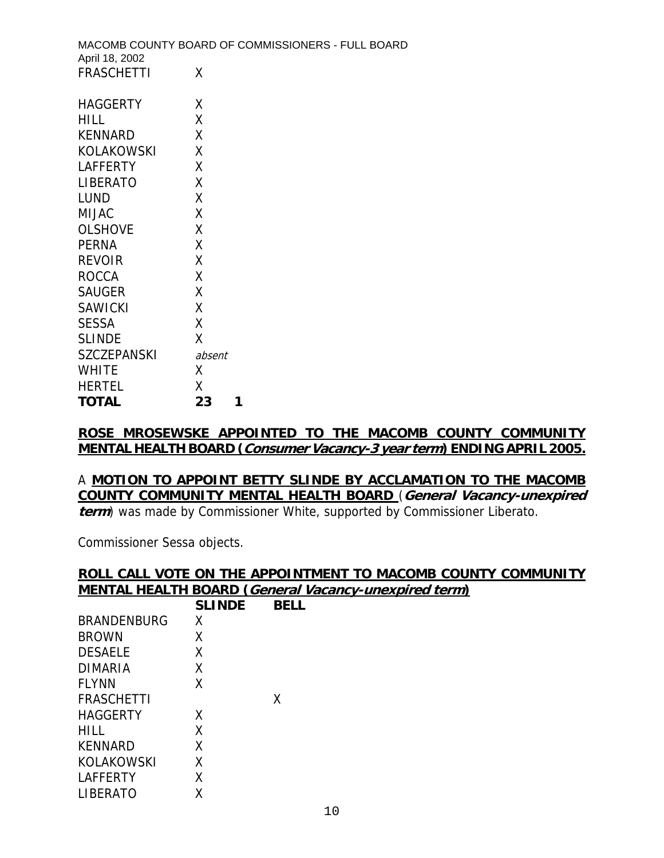| April 18, 2002     | MACOMB COUNTY BOARD OF COMMISSIONERS - FULL BOARD |
|--------------------|---------------------------------------------------|
| <b>FRASCHETTI</b>  | X                                                 |
| <b>HAGGERTY</b>    | X                                                 |
| <b>HILL</b>        | X                                                 |
| KENNARD            | X                                                 |
| <b>KOLAKOWSKI</b>  | X                                                 |
| <b>LAFFERTY</b>    | X                                                 |
| <b>LIBERATO</b>    | X                                                 |
| <b>LUND</b>        | χ                                                 |
| <b>MIJAC</b>       | X                                                 |
| <b>OLSHOVE</b>     | X                                                 |
| <b>PERNA</b>       | X                                                 |
| <b>REVOIR</b>      | X                                                 |
| <b>ROCCA</b>       | X                                                 |
| <b>SAUGER</b>      | X                                                 |
| <b>SAWICKI</b>     | X                                                 |
| <b>SESSA</b>       | X                                                 |
| <b>SLINDE</b>      | χ                                                 |
| <b>SZCZEPANSKI</b> | absent                                            |
| <b>WHITE</b>       | X                                                 |
| <b>HERTEL</b>      | Χ                                                 |
| <b>TOTAL</b>       | 23<br>1                                           |

### **ROSE MROSEWSKE APPOINTED TO THE MACOMB COUNTY COMMUNITY MENTAL HEALTH BOARD (Consumer Vacancy-3 year term) ENDING APRIL 2005.**

### A **MOTION TO APPOINT BETTY SLINDE BY ACCLAMATION TO THE MACOMB COUNTY COMMUNITY MENTAL HEALTH BOARD** (**General Vacancy-unexpired term**) was made by Commissioner White, supported by Commissioner Liberato.

Commissioner Sessa objects.

# **ROLL CALL VOTE ON THE APPOINTMENT TO MACOMB COUNTY COMMUNITY MENTAL HEALTH BOARD (General Vacancy-unexpired term)**

|                    | <b>SLINDE</b> | BELL |
|--------------------|---------------|------|
| <b>BRANDENBURG</b> | Χ             |      |
| <b>BROWN</b>       | Χ             |      |
| <b>DESAELE</b>     | X             |      |
| DIMARIA            | X             |      |
| <b>FLYNN</b>       | Χ             |      |
| FRASCHETTI         |               | X    |
| HAGGERTY           | X             |      |
| HILL               | X             |      |
| <b>KENNARD</b>     | X             |      |
| KOLAKOWSKI         | X             |      |
| <b>LAFFERTY</b>    | χ             |      |
| <b>LIBERATO</b>    | Χ             |      |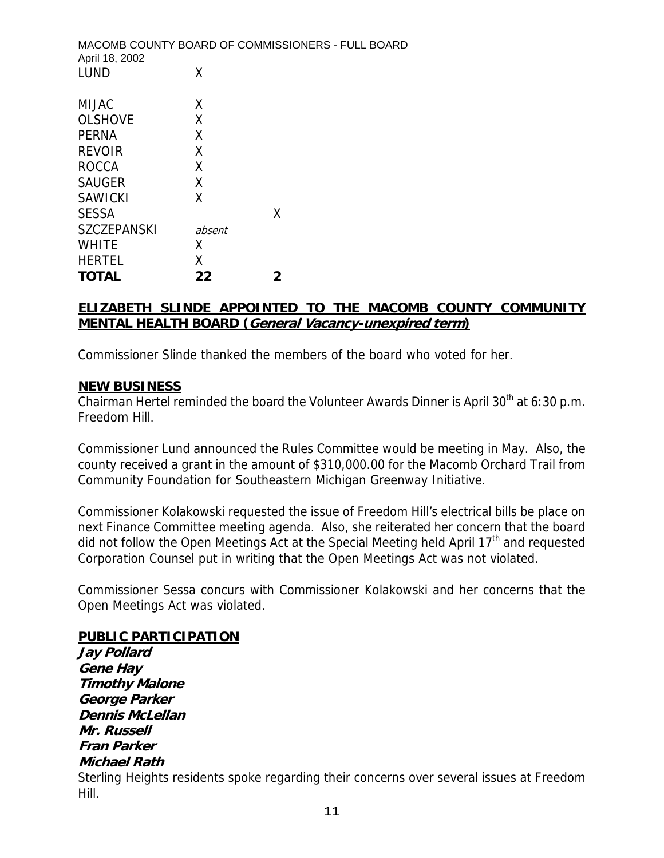| MACOMB COUNTY BOARD OF COMMISSIONERS - FULL BOARD<br>April 18, 2002 |        |   |  |
|---------------------------------------------------------------------|--------|---|--|
| LUND                                                                | Χ      |   |  |
| MIJAC                                                               | X      |   |  |
| <b>OLSHOVE</b>                                                      | X      |   |  |
| <b>PERNA</b>                                                        | X      |   |  |
| <b>REVOIR</b>                                                       | χ      |   |  |
| <b>ROCCA</b>                                                        | X      |   |  |
| <b>SAUGER</b>                                                       | X      |   |  |
| SAWICKI                                                             | χ      |   |  |
| <b>SESSA</b>                                                        |        | X |  |
| <b>SZCZEPANSKI</b>                                                  | absent |   |  |
| <b>WHITE</b>                                                        | x      |   |  |
| HERTEL                                                              | X      |   |  |
| <b>TOTAL</b>                                                        | 22     | 2 |  |

## **ELIZABETH SLINDE APPOINTED TO THE MACOMB COUNTY COMMUNITY MENTAL HEALTH BOARD (General Vacancy-unexpired term)**

Commissioner Slinde thanked the members of the board who voted for her.

## **NEW BUSINESS**

Chairman Hertel reminded the board the Volunteer Awards Dinner is April  $30<sup>th</sup>$  at 6:30 p.m. Freedom Hill.

Commissioner Lund announced the Rules Committee would be meeting in May. Also, the county received a grant in the amount of \$310,000.00 for the Macomb Orchard Trail from Community Foundation for Southeastern Michigan Greenway Initiative.

Commissioner Kolakowski requested the issue of Freedom Hill's electrical bills be place on next Finance Committee meeting agenda. Also, she reiterated her concern that the board did not follow the Open Meetings Act at the Special Meeting held April  $17<sup>th</sup>$  and requested Corporation Counsel put in writing that the Open Meetings Act was not violated.

Commissioner Sessa concurs with Commissioner Kolakowski and her concerns that the Open Meetings Act was violated.

### **PUBLIC PARTICIPATION**

**Jay Pollard Gene Hay Timothy Malone George Parker Dennis McLellan Mr. Russell Fran Parker Michael Rath**  Sterling Heights residents spoke regarding their concerns over several issues at Freedom Hill.